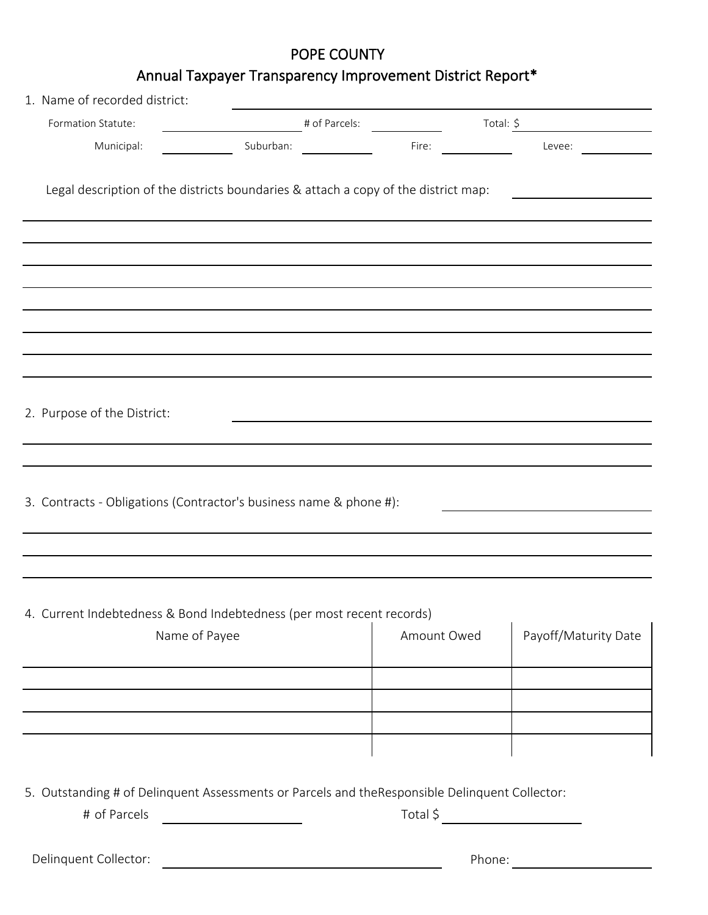## POPE COUNTY

## Annual Taxpayer Transparency Improvement District Report\*

| 1. Name of recorded district:                                                      |           |               |             |           |                      |
|------------------------------------------------------------------------------------|-----------|---------------|-------------|-----------|----------------------|
| Formation Statute:                                                                 |           | # of Parcels: |             | Total: \$ |                      |
| Municipal:                                                                         | Suburban: |               | Fire:       |           | Levee:               |
| Legal description of the districts boundaries & attach a copy of the district map: |           |               |             |           |                      |
|                                                                                    |           |               |             |           |                      |
|                                                                                    |           |               |             |           |                      |
|                                                                                    |           |               |             |           |                      |
|                                                                                    |           |               |             |           |                      |
|                                                                                    |           |               |             |           |                      |
|                                                                                    |           |               |             |           |                      |
|                                                                                    |           |               |             |           |                      |
| 2. Purpose of the District:                                                        |           |               |             |           |                      |
|                                                                                    |           |               |             |           |                      |
|                                                                                    |           |               |             |           |                      |
| 3. Contracts - Obligations (Contractor's business name & phone #):                 |           |               |             |           |                      |
|                                                                                    |           |               |             |           |                      |
|                                                                                    |           |               |             |           |                      |
| 4. Current Indebtedness & Bond Indebtedness (per most recent records)              |           |               |             |           |                      |
| Name of Payee                                                                      |           |               | Amount Owed |           | Payoff/Maturity Date |
|                                                                                    |           |               |             |           |                      |
|                                                                                    |           |               |             |           |                      |
|                                                                                    |           |               |             |           |                      |
|                                                                                    |           |               |             |           |                      |
|                                                                                    |           |               |             |           |                      |
|                                                                                    |           |               |             |           |                      |

5. Outstanding # of Delinquent Assessments or Parcels and theResponsible Delinquent Collector:

# of Parcels Total \$